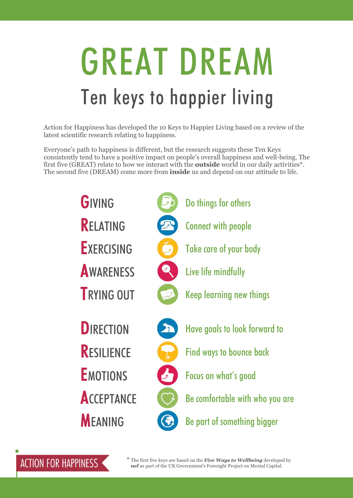# GREAT DREAM Ten keys to happier living

Action for Happiness has developed the 10 Keys to Happier Living based on a review of the latest scientific research relating to happiness.

Everyone's path to happiness is different, but the research suggests these Ten Keys consistently tend to have a positive impact on people's overall happiness and well-being. The first five (GREAT) relate to how we interact with the **outside** world in our daily activities\*. The second five (DREAM) come more from **inside** us and depend on our attitude to life.





**ACTION FOR HAPPINESS**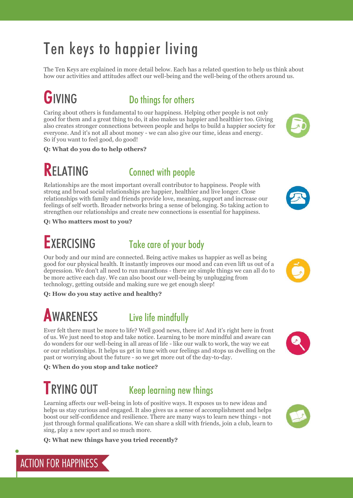# Ten keys to happier living

The Ten Keys are explained in more detail below. Each has a related question to help us think about how our activities and attitudes affect our well-being and the well-being of the others around us.

### GIVING Do things for others

Caring about others is fundamental to our happiness. Helping other people is not only good for them and a great thing to do, it also makes us happier and healthier too. Giving also creates stronger connections between people and helps to build a happier society for everyone. And it's not all about money - we can also give our time, ideas and energy. So if you want to feel good, do good!

#### **Q: What do you do to help others?**

### **RELATING** Connect with people

Relationships are the most important overall contributor to happiness. People with strong and broad social relationships are happier, healthier and live longer. Close relationships with family and friends provide love, meaning, support and increase our feelings of self worth. Broader networks bring a sense of belonging. So taking action to strengthen our relationships and create new connections is essential for happiness.

**Q: Who matters most to you?**

## EXERCISING Take care of your body

Our body and our mind are connected. Being active makes us happier as well as being good for our physical health. It instantly improves our mood and can even lift us out of a depression. We don't all need to run marathons - there are simple things we can all do to be more active each day. We can also boost our well-being by unplugging from technology, getting outside and making sure we get enough sleep!

**Q: How do you stay active and healthy?**

#### AWARENESS Live life mindfully

Ever felt there must be more to life? Well good news, there is! And it's right here in front of us. We just need to stop and take notice. Learning to be more mindful and aware can do wonders for our well-being in all areas of life - like our walk to work, the way we eat or our relationships. It helps us get in tune with our feelings and stops us dwelling on the past or worrying about the future - so we get more out of the day-to-day.

**Q: When do you stop and take notice?**

# TRYING OUT Keep learning new things

Learning affects our well-being in lots of positive ways. It exposes us to new ideas and helps us stay curious and engaged. It also gives us a sense of accomplishment and helps boost our self-confidence and resilience. There are many ways to learn new things - not just through formal qualifications. We can share a skill with friends, join a club, learn to sing, play a new sport and so much more.

**Q: What new things have you tried recently?**